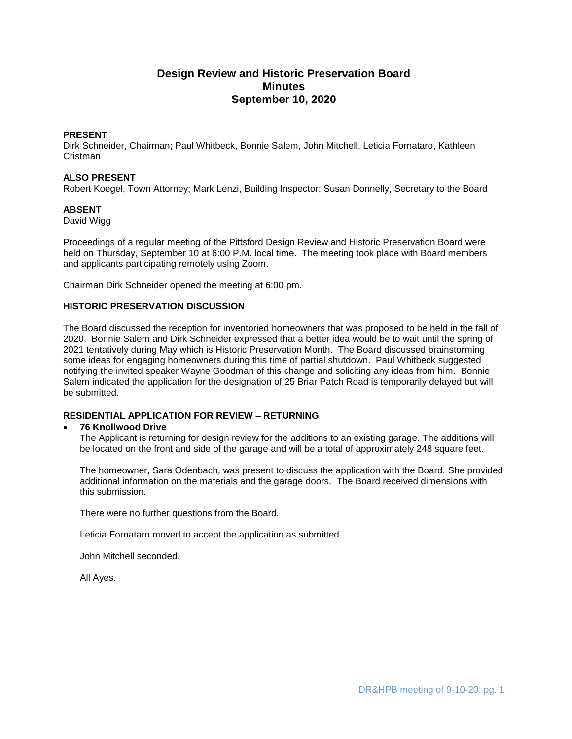# **Design Review and Historic Preservation Board Minutes September 10, 2020**

# **PRESENT**

Dirk Schneider, Chairman; Paul Whitbeck, Bonnie Salem, John Mitchell, Leticia Fornataro, Kathleen Cristman

### **ALSO PRESENT**

Robert Koegel, Town Attorney; Mark Lenzi, Building Inspector; Susan Donnelly, Secretary to the Board

## **ABSENT**

David Wigg

Proceedings of a regular meeting of the Pittsford Design Review and Historic Preservation Board were held on Thursday, September 10 at 6:00 P.M. local time. The meeting took place with Board members and applicants participating remotely using Zoom.

Chairman Dirk Schneider opened the meeting at 6:00 pm.

## **HISTORIC PRESERVATION DISCUSSION**

The Board discussed the reception for inventoried homeowners that was proposed to be held in the fall of 2020. Bonnie Salem and Dirk Schneider expressed that a better idea would be to wait until the spring of 2021 tentatively during May which is Historic Preservation Month. The Board discussed brainstorming some ideas for engaging homeowners during this time of partial shutdown. Paul Whitbeck suggested notifying the invited speaker Wayne Goodman of this change and soliciting any ideas from him. Bonnie Salem indicated the application for the designation of 25 Briar Patch Road is temporarily delayed but will be submitted.

# **RESIDENTIAL APPLICATION FOR REVIEW – RETURNING**

### **76 Knollwood Drive**

The Applicant is returning for design review for the additions to an existing garage. The additions will be located on the front and side of the garage and will be a total of approximately 248 square feet.

The homeowner, Sara Odenbach, was present to discuss the application with the Board. She provided additional information on the materials and the garage doors. The Board received dimensions with this submission.

There were no further questions from the Board.

Leticia Fornataro moved to accept the application as submitted.

John Mitchell seconded.

All Ayes.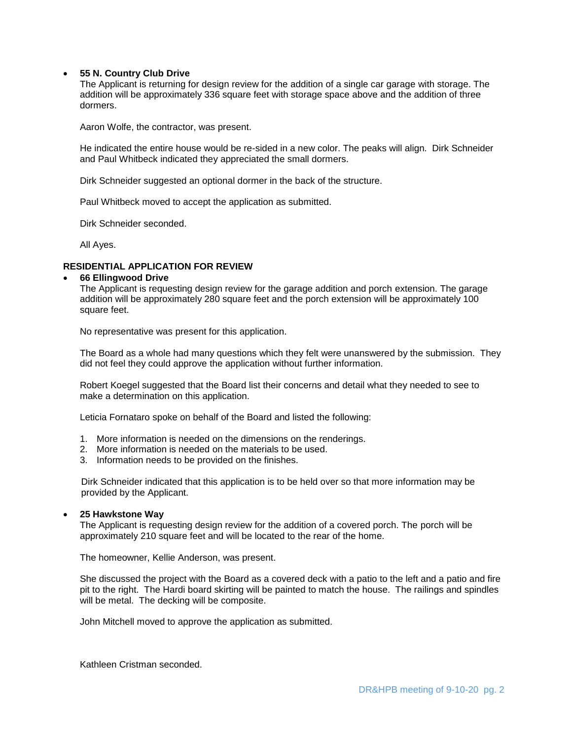### **55 N. Country Club Drive**

The Applicant is returning for design review for the addition of a single car garage with storage. The addition will be approximately 336 square feet with storage space above and the addition of three dormers.

Aaron Wolfe, the contractor, was present.

He indicated the entire house would be re-sided in a new color. The peaks will align. Dirk Schneider and Paul Whitbeck indicated they appreciated the small dormers.

Dirk Schneider suggested an optional dormer in the back of the structure.

Paul Whitbeck moved to accept the application as submitted.

Dirk Schneider seconded.

All Ayes.

### **RESIDENTIAL APPLICATION FOR REVIEW**

#### **66 Ellingwood Drive**

The Applicant is requesting design review for the garage addition and porch extension. The garage addition will be approximately 280 square feet and the porch extension will be approximately 100 square feet.

No representative was present for this application.

The Board as a whole had many questions which they felt were unanswered by the submission. They did not feel they could approve the application without further information.

Robert Koegel suggested that the Board list their concerns and detail what they needed to see to make a determination on this application.

Leticia Fornataro spoke on behalf of the Board and listed the following:

- 1. More information is needed on the dimensions on the renderings.
- 2. More information is needed on the materials to be used.
- 3. Information needs to be provided on the finishes.

 Dirk Schneider indicated that this application is to be held over so that more information may be provided by the Applicant.

#### **25 Hawkstone Way**

The Applicant is requesting design review for the addition of a covered porch. The porch will be approximately 210 square feet and will be located to the rear of the home.

The homeowner, Kellie Anderson, was present.

She discussed the project with the Board as a covered deck with a patio to the left and a patio and fire pit to the right. The Hardi board skirting will be painted to match the house. The railings and spindles will be metal. The decking will be composite.

John Mitchell moved to approve the application as submitted.

Kathleen Cristman seconded.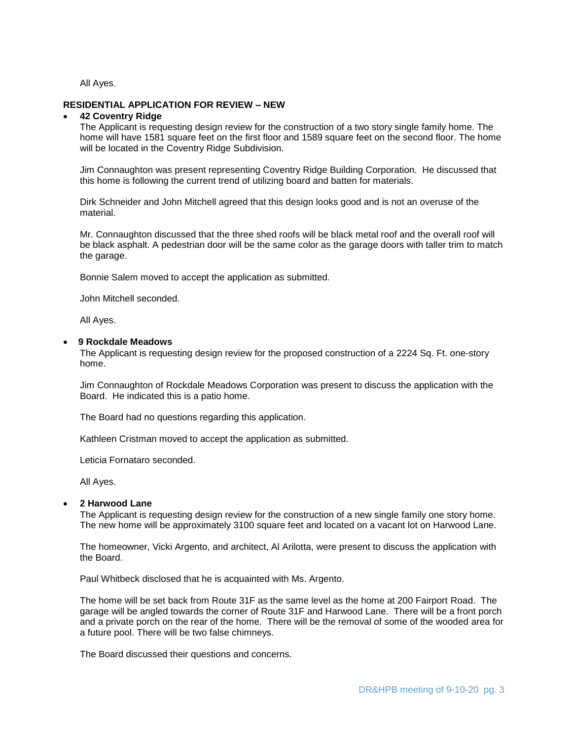All Ayes.

## **RESIDENTIAL APPLICATION FOR REVIEW – NEW**

#### **42 Coventry Ridge**

The Applicant is requesting design review for the construction of a two story single family home. The home will have 1581 square feet on the first floor and 1589 square feet on the second floor. The home will be located in the Coventry Ridge Subdivision.

Jim Connaughton was present representing Coventry Ridge Building Corporation. He discussed that this home is following the current trend of utilizing board and batten for materials.

Dirk Schneider and John Mitchell agreed that this design looks good and is not an overuse of the material.

Mr. Connaughton discussed that the three shed roofs will be black metal roof and the overall roof will be black asphalt. A pedestrian door will be the same color as the garage doors with taller trim to match the garage.

Bonnie Salem moved to accept the application as submitted.

John Mitchell seconded.

All Ayes.

#### **9 Rockdale Meadows**

The Applicant is requesting design review for the proposed construction of a 2224 Sq. Ft. one-story home.

Jim Connaughton of Rockdale Meadows Corporation was present to discuss the application with the Board. He indicated this is a patio home.

The Board had no questions regarding this application.

Kathleen Cristman moved to accept the application as submitted.

Leticia Fornataro seconded.

All Ayes.

#### **2 Harwood Lane**

The Applicant is requesting design review for the construction of a new single family one story home. The new home will be approximately 3100 square feet and located on a vacant lot on Harwood Lane.

The homeowner, Vicki Argento, and architect, Al Arilotta, were present to discuss the application with the Board.

Paul Whitbeck disclosed that he is acquainted with Ms. Argento.

The home will be set back from Route 31F as the same level as the home at 200 Fairport Road. The garage will be angled towards the corner of Route 31F and Harwood Lane. There will be a front porch and a private porch on the rear of the home. There will be the removal of some of the wooded area for a future pool. There will be two false chimneys.

The Board discussed their questions and concerns.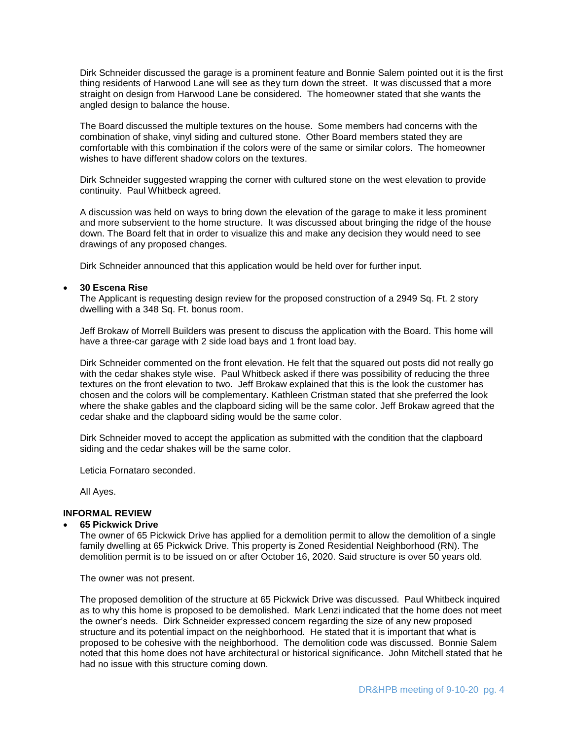Dirk Schneider discussed the garage is a prominent feature and Bonnie Salem pointed out it is the first thing residents of Harwood Lane will see as they turn down the street. It was discussed that a more straight on design from Harwood Lane be considered. The homeowner stated that she wants the angled design to balance the house.

The Board discussed the multiple textures on the house. Some members had concerns with the combination of shake, vinyl siding and cultured stone. Other Board members stated they are comfortable with this combination if the colors were of the same or similar colors. The homeowner wishes to have different shadow colors on the textures.

Dirk Schneider suggested wrapping the corner with cultured stone on the west elevation to provide continuity. Paul Whitbeck agreed.

A discussion was held on ways to bring down the elevation of the garage to make it less prominent and more subservient to the home structure. It was discussed about bringing the ridge of the house down. The Board felt that in order to visualize this and make any decision they would need to see drawings of any proposed changes.

Dirk Schneider announced that this application would be held over for further input.

### **30 Escena Rise**

The Applicant is requesting design review for the proposed construction of a 2949 Sq. Ft. 2 story dwelling with a 348 Sq. Ft. bonus room.

Jeff Brokaw of Morrell Builders was present to discuss the application with the Board. This home will have a three-car garage with 2 side load bays and 1 front load bay.

Dirk Schneider commented on the front elevation. He felt that the squared out posts did not really go with the cedar shakes style wise. Paul Whitbeck asked if there was possibility of reducing the three textures on the front elevation to two. Jeff Brokaw explained that this is the look the customer has chosen and the colors will be complementary. Kathleen Cristman stated that she preferred the look where the shake gables and the clapboard siding will be the same color. Jeff Brokaw agreed that the cedar shake and the clapboard siding would be the same color.

Dirk Schneider moved to accept the application as submitted with the condition that the clapboard siding and the cedar shakes will be the same color.

Leticia Fornataro seconded.

All Ayes.

# **INFORMAL REVIEW**

#### **65 Pickwick Drive**

The owner of 65 Pickwick Drive has applied for a demolition permit to allow the demolition of a single family dwelling at 65 Pickwick Drive. This property is Zoned Residential Neighborhood (RN). The demolition permit is to be issued on or after October 16, 2020. Said structure is over 50 years old.

The owner was not present.

The proposed demolition of the structure at 65 Pickwick Drive was discussed. Paul Whitbeck inquired as to why this home is proposed to be demolished. Mark Lenzi indicated that the home does not meet the owner's needs. Dirk Schneider expressed concern regarding the size of any new proposed structure and its potential impact on the neighborhood. He stated that it is important that what is proposed to be cohesive with the neighborhood. The demolition code was discussed. Bonnie Salem noted that this home does not have architectural or historical significance. John Mitchell stated that he had no issue with this structure coming down.